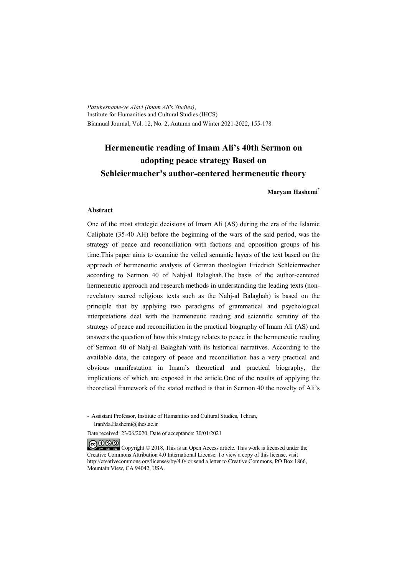*Pazuhesname-ye Alavi (Imam Ali's Studies)*, Institute for Humanities and Cultural Studies (IHCS) Biannual Journal, Vol. 12, No. 2, Autumn and Winter 2021-2022, 155-178

# **Hermeneutic reading of Imam Ali's 40th Sermon on adopting peace strategy Based on Schleiermacher's author-centered hermeneutic theory**

**Maryam Hashemi\***

#### **Abstract**

One of the most strategic decisions of Imam Ali (AS) during the era of the Islamic Caliphate (35-40 AH) before the beginning of the wars of the said period, was the strategy of peace and reconciliation with factions and opposition groups of his time.This paper aims to examine the veiled semantic layers of the text based on the approach of hermeneutic analysis of German theologian Friedrich Schleiermacher according to Sermon 40 of Nahj-al Balaghah.The basis of the author-centered hermeneutic approach and research methods in understanding the leading texts (nonrevelatory sacred religious texts such as the Nahj-al Balaghah) is based on the principle that by applying two paradigms of grammatical and psychological interpretations deal with the hermeneutic reading and scientific scrutiny of the strategy of peace and reconciliation in the practical biography of Imam Ali (AS) and answers the question of how this strategy relates to peace in the hermeneutic reading of Sermon 40 of Nahj-al Balaghah with its historical narratives. According to the available data, the category of peace and reconciliation has a very practical and obvious manifestation in Imam's theoretical and practical biography, the implications of which are exposed in the article.One of the results of applying the theoretical framework of the stated method is that in Sermon 40 the novelty of Ali's

\* Assistant Professor, Institute of Humanities and Cultural Studies, Tehran, IranMa.Hashemi@ihcs.ac.ir

Date received: 23/06/2020, Date of acceptance: 30/01/2021

COOO Copyright © 2018, This is an Open Access article. This work is licensed under the Creative Commons Attribution 4.0 International License. To view a copy of this license, visit http://creativecommons.org/licenses/by/4.0/ or send a letter to Creative Commons, PO Box 1866, Mountain View, CA 94042, USA.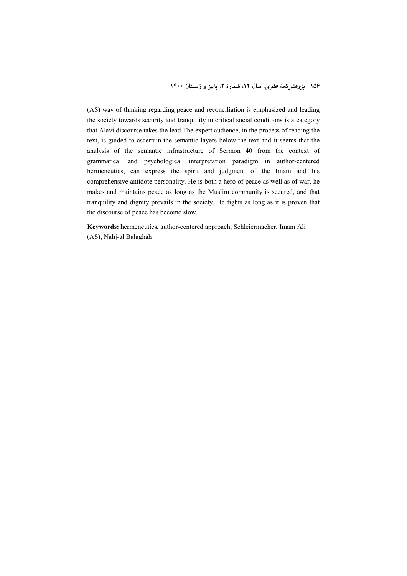(AS) way of thinking regarding peace and reconciliation is emphasized and leading the society towards security and tranquility in critical social conditions is a category that Alavi discourse takes the lead.The expert audience, in the process of reading the text, is guided to ascertain the semantic layers below the text and it seems that the analysis of the semantic infrastructure of Sermon 40 from the context of grammatical and psychological interpretation paradigm in author-centered hermeneutics, can express the spirit and judgment of the Imam and his comprehensive antidote personality. He is both a hero of peace as well as of war, he makes and maintains peace as long as the Muslim community is secured, and that tranquility and dignity prevails in the society. He fights as long as it is proven that the discourse of peace has become slow.

**Keywords:** hermeneutics, author-centered approach, Schleiermacher, Imam Ali (AS), Nahj-al Balaghah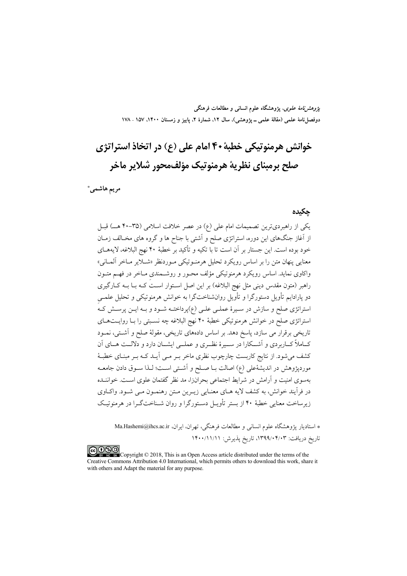*پژوهشنامهٔ علوی*، پژوهشگاه علوم انسانی و مطالعات فرهنگی دوفصلiاههٔ علمی (مقالهٔ علمی ــ پژوهشی)، سال ۱۲، شمارهٔ ۲، پاییز و زمستان ۱۴۰۰، ۱۵۷ ـ ۱۷۸

# خوانش هرمنوتيكي خطية ۴۰ امام على (ع) در اتخاذ استراتژي صلح پرميناي نظرية هرمنوتيک مؤلفمحور شلاير ماخر

مريم هاشمي\*

#### حكىدە

یکی از راهبردیترین تصمیمات امام علی (ع) در عصر خلافت اسلامی (۳۵-۴۰ هـ) قبـل از آغاز جنگهای این دوره، استراتژی صلح و اَشتی با جناح ها و گروه های مخـالف زمـان خود بوده است. این جستار بر آن است تا با تکیه و تأکید بر خطبهٔ ۴۰ نهج البلاغه، لایههــای .<br>معنایی پنهان متن را بر اساس رویکرد تحلیل هرمنـوتیکی مـوردنظر «شــلایر مــاخر آلمــانی» واکاوي نمايد. اساس رويکړد هرمنو تيکي مؤلف محـور و روشــمندي مــاخر در فهــم متــون راهبر (متون مقدس دینی مثل نهج البلاغه) بر این اصل اسـتوار اسـت کـه بــا بــه کــارگیری دو یارادایم تأویل دستورگرا و تأویل روانشناختگرا به خوانش هرمنوتیکی و تحلیل علمـی استراتژی صلح و سازش در سیرهٔ عملـی علـی (ع)پرداختـه شـود و بـه ایــن پرسـش کـه استراتژی صلح در خوانش هرمنوتیکی خطبهٔ ۴۰ نهج البلاغه چه نسـبتی را بــا روایــتهــای تاریخی برقرار می سازد، پاسخ دهد. بر اساس دادههای تاریخی، مقولهٔ صلح و آشـتی، نمـود کــاملاً کــاربردی و آشــکارا در ســیرهٔ نظــری و عملــی ایشــان دارد و دلالــت هــای آن کشف می شود. از نتایج کاربست چارچوب نظری ماخر بـر مـی آیــد کــه بــر مبنــای خطبــهٔ موردپژوهش در اندیشهٔعلی (ع) اصالت بـا صـلح و اَشـتی اسـت؛ لـذا سـوق دادن جامعــه بهسوی امنیت و آرامش در شرایط اجتماعی بحرانزا، مد نظر گفتمان علوی اسـت. خواننــده در فرآیند خوانش، به کشف لایه هـاي معنـايي زيـرين مـتن رهنمـون مـي شـود. واكـاوي ز برساخت معنایی خطبهٔ ۴۰ از بستر تأویل دستورگرا و روان شیناختگیرا در هرمنو تیک

\* استادیار یژوهشگاه علوم انسانی و مطالعات فرهنگی، تهران، ایران، Sha.Hashemi@ihcs.ac.ir تاريخ دريافت: ۱۳۹۹/۰۴/۰۳، تاريخ پذيرش: ۱۴۰۰/۱۱/۱۱

COOD Copyright © 2018, This is an Open Access article distributed under the terms of the Creative Commons Attribution 4.0 International, which permits others to download this work, share it with others and Adapt the material for any purpose.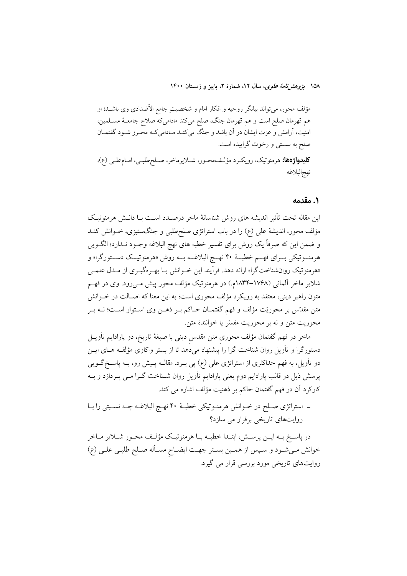مؤلف محور، مي تواند بيانگر روحيه و افكار امام و شخصيتِ جامع الأضدادي وي باشــد؛ او هم قهرمان صلح است و هم قهرمان جنگ، صلح میکند مادامیکه صلاح جامعـهٔ مســلمین، امنیت، آرامش و عزت ایشان در آن باشد و جنگ میکنـد مـادامیکـه محـرز شــود گفتمــان صلح به سستی و رخوت گراییده است. كليدواژهها: هرمنوتيك، رويكرد مؤلف،محـور، شـلايرماخر، صـلحطلبـي، امـامعلـي (ع)، نهجالبلاغه

#### ١. مقدمه

این مقاله تحت تأثیر اندیشه های روش شناسانهٔ ماخر درصـدد اسـت بـا دانـش هرمنوتیـک مؤلف محور، اندیشهٔ علی (ع) را در باب استراتژی صلحطلبی و جنگستیزی، خــوانش کنــد و ضمن این که صرفاً یک روش برای تفسیر خطبه های نهج البلاغه وجـود نــدارد؛ الگــویی هرمنــوتيکي بـــراي فهـــم خطبـــهٔ ۴۰ نهـــج البلاغـــه بـــه روش «هرمنوتيــک دســـتورگرا» و «هرمنوتیک روان شناختگرا» ارائه دهد. فرأیند این خـوانش بـا بهـرهگیـری از مـدل علمـی شلایر ماخر العانبی (۱۷۶۸–۱۸۳۴م.) در هرمنوتیک مؤلف محور پیش مــی(ود. وی در فهــم متون راهبر دینی، معتقد به رویکرد مؤلف محوری است؛ به این معنا که اصـالت در خــوانش متن مقدّس بر محوريّت مؤلف و فهم گفتمــان حــاكم بــر ذهــن وي اســتوار اســت؛ نــه بــر محوريت متن و نه بر محوريت مفسّر يا خوانندهٔ متن.

ماخر در فهم گفتمان مؤلف محوری متن مقدس دینی با صبغهٔ تاریخ، دو پارادایم تأویــل دستورگرا و تأویل روان شناخت گرا را پیشنهاد میدهد تا از بستر واکاوی مؤلف های ایــن دو تأویل، به فهم حداکثری از استراتژی علی (ع) پی بــرد. مقالــه پــیش رو، بــه پاســخگــویی پرسش ذیل در قالب پارادایم دوم یعنی پارادایم تأویل روان شـناخت گــرا مــی پــردازد و بــه كاركرد آن در فهم گفتمان حاكم بر ذهنيت مؤلف اشاره مي كند.

ـ استراتژی صلح در خــوانش هرمنــوتیکی خطبـهٔ ۴۰ نهــج البلاغــه چــه نســبتی را بــا روایتهای تاریخی برقرار می سازد؟

در پاسـخ بــه ايــن پرســش، ابتــدا خطبــه بــا هرمنوتيــک مؤلــف محــور شـــلاير مــاخر خوانش میشود و سپس از همین بستر جهت ایضاح مسأله صلح طلبی علی (ع) روایتهای تاریخی مورد بررسی قرار می گیرد.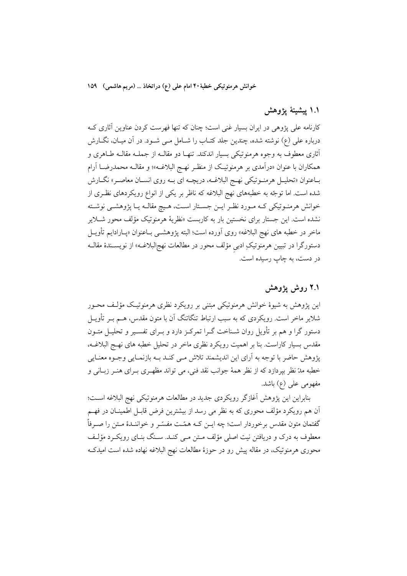خوانش هرمنوتیکی خطبهٔ۴۰ امام علی (ع) دراتخاذ … (مریم هاشمی) ۱۵۹

## ١.١ ييشينۀ يژوهش

کارنامه علی پژوهی در ایران بسیار غنی است؛ چنان که تنها فهرست کردن عناوین آثاری کـه درباره على (ع) نوشته شده، چندين جلد كتـاب را شـامل مـى شـود. در آن ميـان، نگــارش أثاري معطوف به وجوه هرمنوتيكي بسيار اندكند. تنهـا دو مقالــه از جملــه مقالــه طــاهري و همکاران با عنوان «درآمدی بر هرمنوتیک از منظـر نهـج البلاغــه»؛ و مقالــه محمدرضـــا آرام بـاعنوان «تحليـل هرمنـوتيكي نهـج البلاغــه، دريچــه اي بــه روي انســان معاصــر» نگــارش شده است. اما توجّه به خطبههای نهج البلاغه که ناظر بر یکی از انواع رویکردهای نظـری از خوانش هرمنـوتيكي كـه مـورد نظـر ايـن جسـتار اسـت، هـيچ مقالـه يـا پژوهشـي نوشـته نشده است. این جستار برای نخستین بار به کاربست «نظریهٔ هرمنوتیک مؤلف محور شـلایر ماخر در خطبه های نهج البلاغه» روی اَورده است؛ البته پژوهشــی بــاعنوان «پــارادایـم تأویــل دستورگرا در تبیین هرمنوتیکِ ادب<sub>ع</sub> مؤلف محور در مطالعات نهج|لبلاغــه» از نویســندهٔ مقالــه در دست، به چاپ رسیده است.

## ۲.۱ روش یژوهش

این پژوهش به شیوهٔ خوانش هرمنوتیکی مبتنی بر رویکرد نظری هرمنوتیک مؤلـف محــور شلایر ماخر است. رویکردی که به سبب ارتباط تنگاتنگ آن با متون مقدس، هــم بــر تأویــل دستور گرا و هم بر تأویل روان شــناخت گــرا تمرکــز دارد و بــرای تفســیر و تحلیــل متــون مقدس بسیار کاراست. بنا بر اهمیت رویکرد نظری ماخر در تحلیل خطبه های نهـج البلاغــه، پژوهش حاضر با توجه به آرای این اندیشمند تلاش مـی کنـد بـه بازنمـایی وجـوه معنـایی خطبه مدّ نظر بپردازد که از نظر همهٔ جوانب نقد فنی، می تواند مظهـری بـرای هنـر زبـانی و مفهومی علی (ع) باشد.

بنابراين اين پژوهش آغازگر رويكردي جديد در مطالعات هرمنوتيكي نهج البلاغه است؛ آن هم رویکرد مؤلف محوری که به نظر می رسد از بیشترین فرض قابـل اطمینـان در فهـم گفتمان متون مقدس برخوردار است؛ چه ایــن کــه همّــت مفسّــر و خواننــدهٔ مــتن را صــرفاً معطوف به درک و دریافتن نیت اصلی مؤلف مـتن مـی کنـد. سـنگ بنـای رویکـرد مؤلـف محوری هرمنوتیک، در مقاله پیش رو در حوزهٔ مطالعات نهج البلاغه نهاده شده است امیدکـه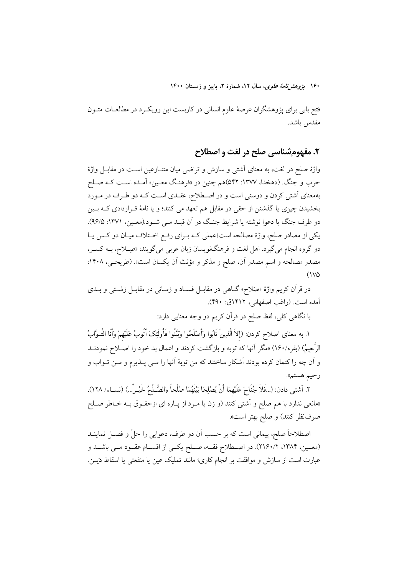فتح بابی برای پژوهشگران عرصهٔ علوم انسانی در کاربست این رویکـرد در مطالعــات متــون مقدس باشد.

# ٢. مفهوم شناسي صلح در لغت و اصطلاح

واژهٔ صلح در لغت، به معنای آشتی و سازش و تراضی میان متنــازعین اســت در مقابــل واژهٔ حرب و جنگ. (دهخدا، ۱۳۷۷: ۵۴۲)هم چنین در «فرهنگ معـین» آمـده اسـت کـه صـلح بهمعنای آشتی کردن و دوستی است و در اصطلاح، عقـدی اسـت کـه دو طـرف در مـورد بخشیدن چیزی یا گذشتن از حقی در مقابل هم تعهد می کنند؛ و یا نامهٔ قــراردادی کــه بــین دو طرف جنگ يا دعوا نوشته يا شرايط جنگ در آن قيـد مـي شـود.(معـين، ١٣٧١: ٩۶/٥). یکی از مصادر صلح، واژهٔ مصالحه است؛عملی کـه بـرای رفـع اخـتلاف میـان دو کـس یـا دو گروه انجام مي گيرد. اهل لغت و فرهنگنويسان زبان عربي مي گويند: «صِـلاح، بــه كسـر، مصدر مصالحه و اسم مصدر آن، صلح و مذکر و مؤنث اَن یکسان است». (طریحـی، ۱۴۰۸:  $(1<sup>2</sup>)$ 

در قرآن کریم واژهٔ «صَلاح» گــاهی در مقابــل فســاد و زمــانی در مقابــل زشــتی و بــدی آمده است. (راغب اصفهانی، ۱۴۱۲ق: ۴۹۰).

با نگاهی کلی، لفظ صلح در قرآن کریم دو وجه معنایی دارد:

١. به معناى اصلاح كردن: (إلاّ ألّذِينَ تَابُوا وَأَصْلَحُوا وَبَيَّنُوا فَأُولَئِكَ أَتُوبُ عَلَيْهِمْ وَأَنَا التَّـوَّابُ الرُّحِيمُ) (بقره/١۶٠) «مگر أنها كه توبه و بازگشت كردند و اعمال بد خود را اصـلاح نمودنــد و آن چه را کتمان کرده بودند اَشکار ساختند که من توبهٔ اَنها را مــی پــذیرم و مــن تــواب و رحيم هستم».

٢. آشتى دادن: (...فَلاَ جُنَاحَ عَلَيْهِمَا أَنْ يُصْلِحَا بَيْنَهُمَا صُلْحاً وَالصُّـلْحُ خَيْـرٌ...) (نسـاء/ ١٢٨). «مانعی ندارد با هم صلح و آشتی کنند (و زن یا مـرد از پـاره ای ازحقـوق بـه خـاطر صـلح صرفنظر کنند) و صلح بهتر است».

اصطلاحاً صلح، پیمانی است که بر حسب آن دو طرف، دعوایی را حلّ و فصـل نماینــد (معـين، ١٣٨۴، ٢١٦٠/٢). در اصـطلاح فقــه، صــلح يكــي از اقســام عقــود مــي باشــد و عبارت است از سازش و موافقت بر انجام کاری؛ مانند تملیک عین یا منفعتی یا اسقاط دَیــن.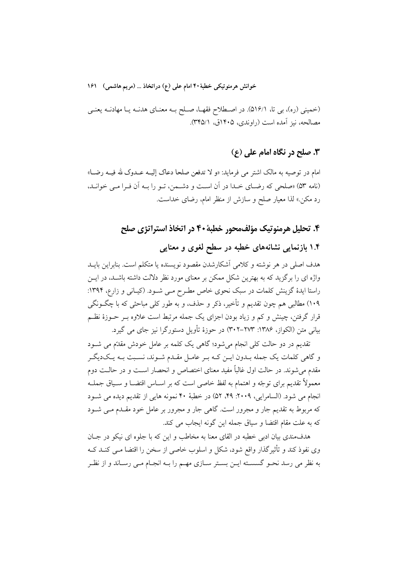خوانش هرمنوتيكي خطبهٔ ۴۰ امام على (ع) دراتخاذ … (مريم هاشمي) ۱۶۱

(خمینی (ره)، بی تا، ۵۱۶/۱). در اصـطلاح فقهـا، صـلح بـه معنـای هدنـه یـا مهادنـه یعنـی مصالحه، نيز آمده است (راوندي، ۱۴۰۵ق، ۳۴۵/۱).

## **٣. صلح در نگاه امام علي (ع)**

امام در توصیه به مالک اشتر می فرماید: «و لا تدفعن صلحا دعاک إلیــه عــدوک لله فیــه رضــا» (نامه ۵۳) «صلحی که رضای خـدا در آن اسـت و دشـمن، تـو را بـه آن فـرا مـی خوانـد، رد مکن.» لذا معیار صلح و سازش از منظر امام، رضای خداست.

### ۴. تحلیل هرمنوتیک مؤلف،حور خطبهٔ ۴۰ در اتخاذ استراتژی صلح

## ۱.۴ بازنمایی نشانههای خطبه در سطح لغوی و معنایی

هدف اصلی در هر نوشته و کلامی آشکارشدن مقصود نویسنده یا متکلم است. بنابراین بایــد واژه ای را برگزید که به بهترین شکل ممکن بر معنای مورد نظر دلالت داشته باشــد، در ایــن راستا ایدهٔ گزینش کلمات در سبک نحوی خاص مطـرح مـی شـود. (کیـانی و زارع، ۱۳۹۴: ۱۰۹) مطالبي هم چون تقديم و تأخير، ذكر و حذف، و به طور كلي مباحثي كه با چگـونگـي قرار گرفتن، چینش و کم و زیاد بودن اجزای یک جمله مرتبط است علاوه بــر حــوزهٔ نظــم بیانی متن (الکواز، ۱۳۸۶: ۲۷۳–۳۰۲) در حوزهٔ تأویل دستورگرا نیز جای می گیرد.

۔<br>تقدیم در دو حالت کلی انجام میشود؛ گاہی یک کلمه بر عامل خودش مقدّم می شــود و گاهی کلمات یک جمله بــدون ایــن کــه بــر عامــل مقــدم شــوند، نســبت بــه یــک(دیگــر مقدم می شوند. در حالت اول غالباً مفید معنای اختصاص و انحصار اسـت و در حالـت دوم معمولاً تقديم براي توجّه و اهتمام به لفظ خاصي است كه بر اســاس اقتضــا و ســياق جملــه انجام مي شود. (السامرايي، ٢٠٠٩: ٢٩، ٥٢، ٥٢) در خطبة ۴۰ نمونه هايي از تقديم ديده مي شـود که مربوط به تقدیم جار و مجرور است. گاهی جار و مجرور بر عامل خود مقـدم مـی شــود كه به علت مقام اقتضا و سياق جمله اين گونه ايجاب مي كند.

هدفمندی بیان ادبی خطبه در القای معنا به مخاطب و این که با جلوه ای نیکو در جـان وی نفوذ کند و تأثیر گذار واقع شود، شکل و اسلوب خاصی از سخن را اقتضا مـی کنــد کــه به نظر می رسد نحـو گسســته ايــن بســتر ســازي مهــم را بــه انجــام مــي رســاند و از نظـر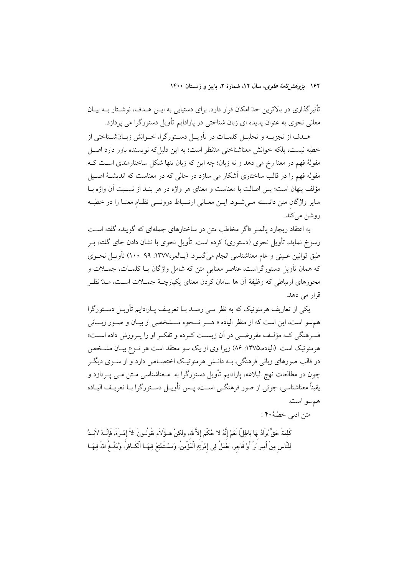تأثیرگذاری در بالاترین حدّ امکان قرار دارد. برای دستیابی به ایــن هــدف، نوشــتار بــه بیــان معانی نحوی به عنوان یدیده ای زبان شناختی در یارادایم تأویل دستورگرا می پردازد.

هـدف از تجزیــه و تحلیــل کلمــات در تأویــل دســتورگرا، خــوانش زبــانشــناختی از خطبه نيست، بلكه خوانش معناشناختي مدّنظر است؛ به اين دليلٍ كه نويسنده باور دارد اصـل مقولهٔ فهم در معنا رِخ می دهد و نه زبان؛ چه این که زبان تنها شکل ساختارمندی اسـت کــه مقوله فهم را در قالب ساختاری اَشکار می سازد در حالی که در معناست که اندیشــهٔ اصــیل مؤلف ينهان است؛ يس اصالت با معناست و معناى هر واژه در هر بنـد از نسـبت آن واژه بــا سایر واژگان متن دانسـته مـی شـود. ایــن معــانی ارتـــباط درونـــی نظــام معنــا را در خطبــه روشن ميڭند.

به اعتقاد ربچارد پالمبر «اگر مخاطب متن در ساختارهای جملهای که گوینده گفته است رسوخ نماید، تأویل نحوی (دستوری) کرده است. تأویل نحوی با نشان دادن جای گفته، بـر طبق قوانين عـيني و عام معناشناسي انجام ميگيــرد. (پــالمر،١٣٧٧: ٩٩–١٠٠) تأويــل نحــوي که همان تأویل دستورگراست، عناصر معنایی متن که شامل واژگان یـا کلمــات، جمــلات و محورهای ارتباطی که وظیفهٔ اَن ها سامان کردن معنای یکیارچـهٔ جمــلات اســت، مــدّ نظــر قرار می دهد.

یکی از تعاریف هرمنوتیک که به نظر مـی رسـد بــا تعریــف پــارادایم تأویــل دســتورگرا هم سو است، این است که از منظر الیاده « هــر نـــحوه مـــشخصی از بیــان و صــور زبـــانی ف هنگی کـه مؤلـف مفروضـی در آن زیسـت کـرده و تفکـر او را یـرورش داده اسـت» هرمنوتيک است. (الياده،١٣٧۵: ٨۶) زيرا وي از يک سو معتقد است هر نــوع بيــان مشــخص در قالب صورهای زبانی فرهنگی، بـه دانـش هرمنوتیـک اختصــاص دارد و از ســوی دیگــر چون در مطالعات نهج البلاغه، پارادایم تأویل دستورگرا به مـعناشناسی مـتن مـی پــردازد و يقيناً معناشناسي، جزئي از صور فرهنگـي اسـت، پــس تأويـل دسـتورگرا بــا تعريــف اليــاده هم سو است.

متن ادبي خطبهٔ ۴۰ :

كَلِمَةُ حَقٍّ يُرادُ بِهَا بَاطِلٌ! نَعَمْ إِنَّهُ لا حُكْمَ إلاَّ لله، ولكِنَّ هـؤُلاءِ يَقُولُـونَ :لاَ إمْـرةَ، فَإِنَّــهُ لاَبْـدَّ لِلنَّاسِ مِنْ أَمِيرِ بَرِّ أَوْ فَاجرٍ، يَعْمَلُ فِي إِمْرَتِهِ الْمُؤْمِنُ، وَيَسْتَمْتِعُ فِيهَـا الْكَـافِرُ، وَيُبَلَّـغُ اللهُ فِيهَـا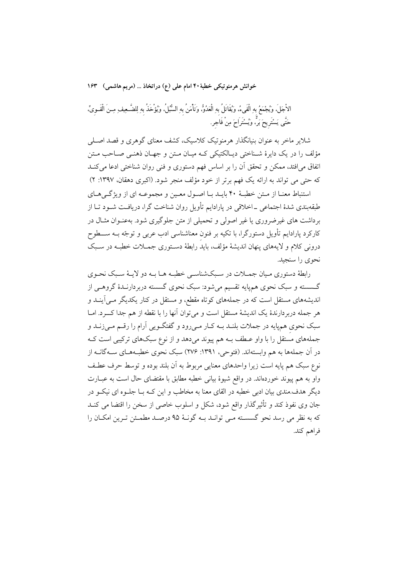خوانش هرمنوتیکی خطبهٔ ۴۰ امام علمی (ع) دراتخاذ … (مریم هاشمی) ۱۶۳

الأجَلَ، ويُجْمَعُ بهِ الْفَيءُ، ويُقَاتَلُ بهِ الْعَدُوُّ، وَتَأْمَنُ بهِ السُّبُلُ، ويُؤْخَذُ بهِ لِلضَّـعِيف ِمِـنَ الْقَــويِّ، حَتَّى يَسْتَرِيحَ بَرٌّ، وَيُسْتَرَاحَ مِنْ فَاجرٍ.

شلایر ماخر به عنوان بنیانگذار هرمنوتیک کلاسیک، کشف معنای گوهری و قصد اصـلی مؤلف را در یک دایرهٔ شـناختی دیـالکتیکی کـه میـان مـتن و جهـان ذهنـی صـاحب مـتن اتفاق میافتد، ممکن و تحقق آن را بر اساس فهم دستوری و فنی روان شناختی ادعا میکنـد که حتی می تواند به ارائه یک فهم برتر از خود مؤلف منجر شود. (اکبری دهقان، ۱۳۹۷: ۲)

استنباط معنـا از مـتن خطبـهٔ ۴۰ بايـد بـا اصـول معـين و مجموعـه اي از ويژگـيهـاي طبقهبندی شدهٔ اجتماعی ــ اخلاقی در پارادایم تأویل روان شناخت گرا، دریافت شــود تــا از برداشت های غیرضروری یا غیر اصولی و تحمیلی از متن جلوگیری شود. بهعنـوان مثـال در کارکرد پارادایم تأویل دستورگرا، با تکیه بر فنون معناشناسی ادب عربی و توجّه بــه ســــطوح درونی کلام و لایههای پنهان اندیشهٔ مؤلف، باید رابطهٔ دسـتوری جمـلات خطبـه در سـبک نحوی را سنجید.

رابطهٔ دستوری میان جمــلات در ســبکشناســی خطبــه هــا بــه دو لایــهٔ ســبک نحــوی گــسسته و سبک نحوی همهپایه تقسیم میشود: سبک نحوی گسسته دربردارنــدهٔ گروهــی از اندیشههای مستقل است که در جملههای کوتاه مقطع، و مستقل در کنار یکدیگر مـی]ینــد و هر جمله دربردارندهٔ یک اندیشهٔ مستقل است و می توان آنها را با نقطه از هم جدا کـــرد. امــا سبک نحوی هم پایه در جملات بلنـد بــه کــار مــی(ود و گفتگــویی آرام را رقــم مــی;زنــد و جملههای مستقل را با واو عـطف بـه هم پیوند میدهد و از نوع سبکهای ترکیبی است کـه در آن جملهها به هم وابستهاند. (فتوحى، ١٣٩١: ٢٧۶) سبک نحوي خطبـههـاي ســهگانــه از نوع سبک هم پایه است زیرا واحدهای معنایی مربوط به آن بلند بوده و توسط حرف عطف واو به هم پیوند خوردماند. در واقع شیوهٔ بیانی خطبه مطابق با مقتضای حال است به عبــارت دیگر هدف.مندی بیان ادبی خطبه در القای معنا به مخاطب و این کـه بـا جلـوه ای نیکـو در جان وی نفوذ کند و تأثیرگذار واقع شود، شکل و اسلوب خاصی از سخن را اقتضا می کنـد كه به نظر مي رسد نحو گسســته مــي توانــد بــه گونــهٔ ۹۵ درصــد مطمــئن تــرين امكــان را فراهم كند.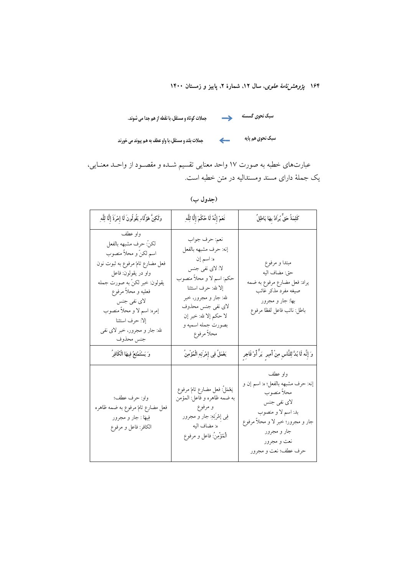سبک نحوی هم پایه مسلمهای مسلمان بلند و مستقل، با واو عطف به هم پیوند می خورند

عبارتهای خطبه به صورت ۱۷ واحد معنایی تقسیم شـده و مقصـود از واحـد معنـایی، یک جملهٔ دارای مسند ومسندالیه در متن خطبه است.

(جدول ب)

| وَلَكِنَّ هَؤُلَاءِ يَقُولُونَ لَا إِمْرَةَ إِلَّا لِلَّهِ                                                                                                                                                                                                                                   | نَعَمْ إِنَّهُ لَا حُكْمَ إِلَّا لِلَّهِ                                                                                                                                                                                               | كَلِمَةُ حَقٍّ يُرادُ بِهَا بَاطِلٌ                                                                                                                                                         |
|----------------------------------------------------------------------------------------------------------------------------------------------------------------------------------------------------------------------------------------------------------------------------------------------|----------------------------------------------------------------------------------------------------------------------------------------------------------------------------------------------------------------------------------------|---------------------------------------------------------------------------------------------------------------------------------------------------------------------------------------------|
| واو عطف<br>لكنّ: حرف مشبهه بالفعل<br>اسم لکنّ و محلاً منصوب<br>فعل مضارع تامّ مرفوع به ثبوت نون<br>واو در يقولون: فاعل<br>يقولون: خبر لكنّ به صورت جمله<br>فعليه و محلاً مرفوع<br>لای نفی جنس<br>إمره: اسم لا و محلاً منصوب<br>إلا: حرف استثنا<br>لله: جار و مجرور، خبر لای نفی<br>جنس محذوف | نعم: حرف جواب<br>إنه: حرف مشبهه بالفعل<br>ه: اسم إن<br>لا: لاي نفي جنس<br>حکم: اسم لا و محلاً منصوب<br>إلا لله: حرف استثنا<br>لله: جار و مجرور، خبر<br>لای نفی جنس محذوف<br>لا حكم إلا لله: خبر إن<br>بصورت جمله اسميه و<br>محلأ مرفوع | مبتدا و مرفوع<br>حق: مضاف اليه<br>يراد: فعل مضارع مرفوع به ضمه<br>صيغه مفرد مذكر غائب<br>بها: جار و مجرور<br>باطل: نائب فاعل لفظا مرفوع                                                     |
| وَ يَسْتَمْتِعُ فِيهَا الْكَافِرُ                                                                                                                                                                                                                                                            | يَعْمَلُ فِي إِمْرَتِهِ الْمُؤْمِنُ                                                                                                                                                                                                    | وَ إِنَّه لَا بُدَّ لِلنَّاسِ مِنْ أَمِيرٍ ۚ بَرٍّ أَوْ فَاجِرٍ                                                                                                                             |
| واو: حرف عطف؛<br>فعل مضارع تامّ مرفوع به ضمه ظاهره<br>فِيهَا : جار و مجرور<br>الكافر: فاعل و مرفوع                                                                                                                                                                                           | يَعْمَلُ: فعل مضارع تامٌ مرفوع<br>به ضمه ظاهره و فاعل: المؤمن<br>و مرفوع<br>فِی إَمْرَتِهِ: جار و مجرور<br>ه: مضاف اليه<br>الْمُؤْمِنُ: فاعل و مرفوع                                                                                   | واو عطف<br>إنه: حرف مشبهه بالفعل؛ ه: اسم إن و<br>محلأ منصوب<br>لای نفی جنس<br>بد: اسم لا و منصوب<br>جار و مجرور؛ خبر لا و محلاً مرفوع<br>جار و مجرور<br>نعت و مجرور<br>حرف عطف؛ نعت و مجرور |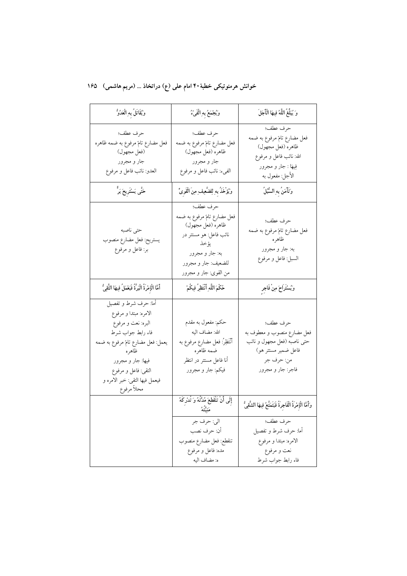# خوانش هرمنوتیکی خطبهٔ۴۰ امام علی (ع) دراتخاذ … (مریم هاشمی) ۱۶۵

| وَيُقَاتَلُ بِهِ الْعَدُوُّ                                                                                                                                                                                                        | وَيُجْمَعُ بِهِ الْفَيْءُ                                                                                                                                         | وَ يُبَلِّغُ اللَّهُ فِيهَا الْأَجَلَ                                                                                              |
|------------------------------------------------------------------------------------------------------------------------------------------------------------------------------------------------------------------------------------|-------------------------------------------------------------------------------------------------------------------------------------------------------------------|------------------------------------------------------------------------------------------------------------------------------------|
| حرف عطف؛<br>فعل مضارع تامّ مرفوع به ضمه ظاهره<br>(فعل مجهول)<br>جار و مجرور<br>العدو: نائب فاعل و مرفوع                                                                                                                            | حرف عطف؛<br>فعل مضارع تامّ مرفوع به ضمه<br>ظاهره (فعل مجهول)<br>جار و مجرور<br>الفيء: نائب فاعل و مرفوع                                                           | حرف عطف؛<br>فعل مضارع تامٌ مرفوع به ضمه<br>ظاهره (فعل مجهول)<br>الله: نائب فاعل و مرفوع<br>فِيهَا : جار و مجرور<br>الأجل: مفعول به |
| حَتَّى يَسْتَرِيحَ بَرُّ                                                                                                                                                                                                           | وَيُؤْخَذُ بِهِ لِلضَّعِيفِ مِنَ الْقَوِىِّ                                                                                                                       | وَتَأْمَنُ بِهِ السُّبُلُ                                                                                                          |
| حتى ناصبه<br>يستريح: فعل مضارع منصوب<br>بر: فاعل و مرفوع                                                                                                                                                                           | حرف عطف؛<br>فعل مضارع تامٌ مرفوع به ضمه<br>ظاهره (فعل مجهول)<br>نائب فاعل: هو مستتر در<br>يؤخذ<br>به: جار و مجرور<br>للضعيف: جار و مجرور<br>من القوى: جار و مجرور | حرف عطف؛<br>فعل مضارع تامّ مرفوع به ضمه<br>ظاهره<br>به: جار و مجرور<br>السبل: فاعل و مرفوع                                         |
| أَمَّا الْإِمْرَةُ الْبَرَّةُ فَيَعْمَلُ فِيهَا النَّقِيُّ                                                                                                                                                                         | حُكْمَ اللَّهِ أَنْتَظِرُ فِيكُمْ                                                                                                                                 | وَيُسْتَرَاحَ مِنْ فَاجِرِ                                                                                                         |
| أما: حرف شرط و تفصيل<br>الامره: مبتدا و مرفوع<br>البره: نعت و مرفوع<br>فاء رابط جواب شرط<br>يعمل: فعل مضارع تامّ مرفوع به ضمه<br>ظاهره<br>فيها: جار و مجرور<br>التقى: فاعل و مرفوع<br>فيعمل فيها التقى: خبر الامره و<br>محلأ مرفوع | حکم: مفعول به مقدم<br>الله: مضاف اليه<br>ٱنْتَظِرُ: فعل مضارع مرفوع به<br>ضمه ظاهره<br>أنا فاعل مستتر در انتظر<br>فیکم: جار و مجرور                               | حرف عطف؛<br>فعل مضارع منصوب و معطوف به<br>حتى ناصبه (فعل مجهول و نائب<br>فاعل ضمیر مستتر هو)<br>من: حرف جر<br>فاجر: جار و مجرور    |
|                                                                                                                                                                                                                                    | إِلَى أَنْ تَنْقَطِعَ مُدَّتُهُ وَ تُدْرِكَهُ                                                                                                                     | وَأَمَّا الْإِمْرَةُ الْفَاجِرَةُ فَيَتَمَتَّعُ فِيهَا الشَّقِيُّ                                                                  |
|                                                                                                                                                                                                                                    | الي: حرف جر<br>أن: حرف نصب<br>تنقطع: فعل مضارع منصوب<br>مده: فاعل و مرفوع<br>ه: مضاف اليه                                                                         | حرف عطف؛<br>أما: حرف شرط و تفصيل<br>الامره: مبتدا و مرفوع<br>نعت و مرفوع<br>فاء رابط جواب شرط                                      |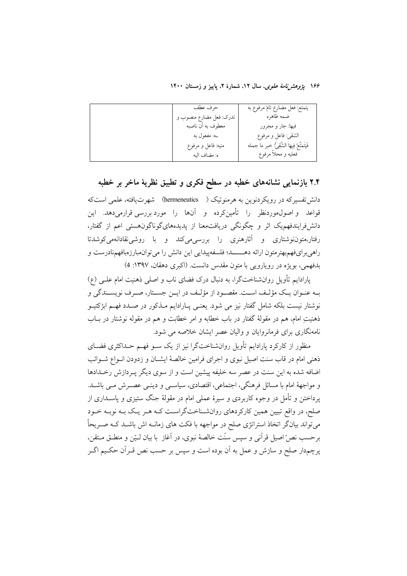| حرف عطف                 | يتمتع: فعل مضارع تامٌ مرفوع به               |
|-------------------------|----------------------------------------------|
| تدرک: فعل مضارع منصوب و | ضمه ظاهره                                    |
| معطوف به أن ناصبه       | فيها: جار و مجرور                            |
| ے: مفعول به             | الشقى: فاعل و مرفوع                          |
| منيه: فاعل و مرفوع      | فَيَتَمَتَّعُ فِيهَا الشَّقِيُّ: خبر ما جمله |
| ه: مضاف اليه            | فعليه و محلأ مرفوع                           |

#### ۲.۴ بازنمایی نشانههای خطبه در سطح فکری و تطبیق نظریهٔ ماخر بر خطبه

دانش تفسیر که در رویکردنوین به هرمنوتیک ( hermeneutics) شهرت یافته، علمی استکه قواعد واصول،موردنظر را تأمینکرده و آنها را موردبررسی قرارمی،دهد. این دانشفرایندفهم یک اثر و چگونگی دریافتمعنا از پدیدههایگوناگونهستی اعم از گفتار، رفتار،متون نوشتاری و آثارهنری را بررسی میکند و با روشی نقادانهمیکوشدتا راهی برای فهم بهترمتون ارائه دهــــــد؛ فلسفه پیدایی این دانش را می توان مبارزهبافهم نادرست و بدفهمي، بويژه در رويارويي با متون مقدس دانست. (اکبري دهقان، ١٣٩٧: 4)

پارادایم تأویل روانشناختگرا، به دنبال درک فضای ناب و اصلی ذهنیت امام علـی (ع) بـه عنـوان يـك مؤلـف اسـت. مقصـود از مؤلـف در ايـن جسـتار، صـرف نويسـندگي و نوشتار نیست بلکه شامل گفتار نیز می شود. یعنـی پــارادایم مــذکور در صــدد فهــم ابژکتیــو ذهنيتِ امام، هم در مقولهٔ گفتار در باب خطابه و امر خطابت و هم در مقوله نوشتار در بــاب نامهنگاری برای فرمانروایان و والیان عصر ایشان خلاصه می شود.

منظور از کارکرد پارادایم تأویل روانشناختگرا نیز از یک سـو فهـم حـداکثری فضــای ذهنی امام در قاب سنت اصیل نبوی و اجرای فرامین خالصهٔ ایشــان و زدودن انــواع شــوائب اضافه شده به این سنت در عصر سه خلیفه پیشین است و از سوی دیگر پـردازش رخـدادها و مواجههٔ امام با مسائل فرهنگی، اجتماعی، اقتصادی، سیاسبی و دینبی عصـرش مـبی باشـد. پرداختن و تأمل در وجوه کاربردی و سیرهٔ عملی امام در مقولهٔ جنگ ستیزی و پاســداری از صلح، در واقع تبیین همین کارکردهای روانشـناختگراسـت کـه هـر یـک بـه نوبـه خـود میتواند بیانگر اتخاذ استراتژی صلح در مواجهه با فکت های زمانــه اش باشــد کــه صــریحاً برحسب نصِّ اصيل قرأني و سپس سنّت خالصهٔ نبوي، در آغاز با بيان لـيّن و منطــق مــتقن، پرچمدار صلح و سازش و عمل به آن بوده است و سپس بر حسب نص قـرآن حکـيم اگـر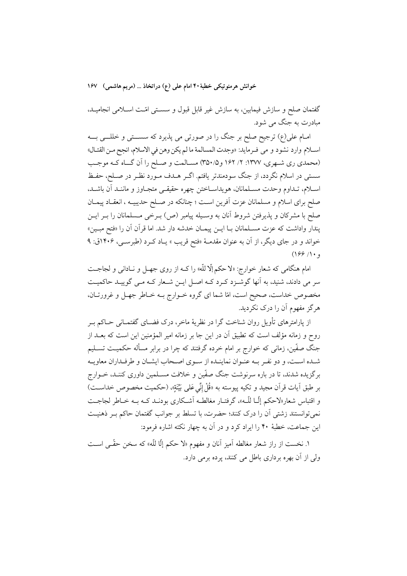خوانش هرمنوتیکی خطبهٔ ۴۰ امام علمی (ع) دراتخاذ … (مریم هاشمی) ۱۶۷

گفتمان صلح و سازش فیمابین، به سازش غیر قابل قبول و سســتی امّــت اســلامی انجامیــد، مبادرت به جنگ می شود.

امـام علي(ع) ترجيح صلح بر جنگ را در صورتي مي پذيرد كه سســتي و خللـــي بـــه اسلام وارد نشود و مي فـرمايد: «وجدت المسالمة ما لم يكن وهن في الاسلام، انجح مـن القتـال» (محمدی ری شـهری، ۱۳۷۷: ۲/ ۱۶۲ و ۳۵۰/۵) مسـالمت و صـلح را آن گــاه کـه موجـب سستمي در اسلام نگردد، از جنگ سودمندتر يافتم. اگـر هــدف مــورد نظــر در صــلح، حفــظ اسـلام، تـداوم وحدت مسـلمانان، هويداسـاختن چهره حقيقـي متجـاوز و ماننـد آن باشـد، صلح برای اسلام و مسلمانان عزت آفرین است ؛ چنانکه در صـلح حدیبیــه ، انعقــاد پیمــان صلح با مشركان و يذيرفتن شروط أنان به وسـيله ييامبر (ص) بـرخي مـسلمانان را بــر ايــن يندار واداشت كه عزت مســلمانان بــا ايــن ييمــان خدشه دار شد. اما قرآن آن را «فتح مبــين» خواند و در جای دیگر، از آن به عنوان مقدمـهٔ «فتح قریب » یـاد کـرد (طبرسـی، ۱۴۰۶ق: ۹  $(199/1)$ 

امام هنگامی که شعار خوارج: «لا حکم إلّا للّه» را کــه از روی جهــل و نــادانی و لجاجــت سر می دادند، شنید، به آنها گوشـزد کـرد کـه اصـل ایـن شـعار کـه مـی گوییـد حاکمیـت مخصوص خداست، صحیح است، امّا شما ای گروه خـوارج بــه خــاطر جهــل و غرورتــان، هر گز مفهوم آن را درک نکردید.

از پارامترهای تأویل روان شناخت گرا در نظریهٔ ماخر، درک فضــای گفتمــانی حــاکم بــر روح و زمانه مؤلف است که تطبیق آن در این جا بر زمانه امیر المؤمنین این است که بعــد از جنگ صفّین، زمانی که خوارج بر امام خرده گرفتند که چرا در برابر مسأله حکمیــت تســلیم شـده اسـت، و دو نفـر بـه عنـوان نماينـده از سـوى اصـحاب ايشـان و طرفـداران معاويـه برگزیده شدند، تا در باره سرنوشت جنگ صفّین و خلافت مسـلمین داوری کننـد، خــوارج بر طبق اَيات قراَن مجيد و تكيه پيوسته به «قُلْ إِنِّي عَلى بَيِّنَةٍ»، (حكميت مخصوص خداســت) و اقتباس شعار«لاحکم إلّبا لِلّـه»، گرفتـار مغالطـه آشـکاری بودنـد کـه بـه خـاطر لجاجـت نمي توانستند زشتي اّن را درک کنند؛ حضرت، با تسلط بر جوانب گفتمان حاکم بـر ذهنيـت این جماعت، خطبهٔ ۴۰ را ایراد کرد و در آن به چهار نکته اشاره فرمود:

۱. نخست از راز شعار مغالطه آمیز آنان و مفهوم «لا حکم إلّا للّه» که سخن حقّــی اســت ولي از آن بهره برداري باطل مي كنند، يوده برمي دارد.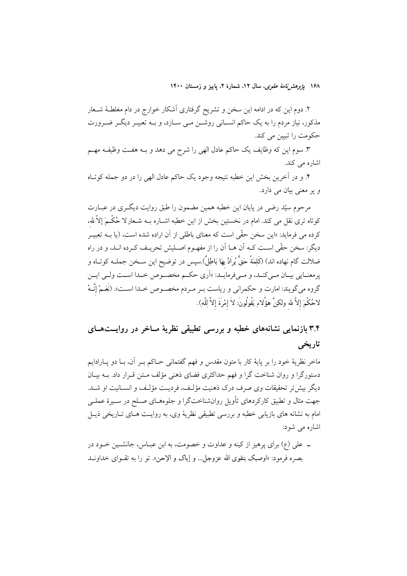۲. دوم این که در ادامه این سخن و تشریح گرفتاری آشکار خوارج در دام مغلطـهٔ شــعار مذکور، نیاز مردم را به یک حاکم انســانی روشــن مــی ســازد، و بــه تعبیــر دیگــر ضــرورت حکومت را تبیین می کند.

٣. سوم اين كه وظايف يك حاكم عادل الهي را شرح مي دهد و بــه هفــت وظيفــه مهــم اشارہ مے کند.

۴. و در آخرین بخش این خطبه نتیجه وجود یک حاکم عادل الهی را در دو جمله کوتاه و پر معنی بیان می دارد.

مرحوم سپّد رضی در پایان این خطبه همین مضمون را طبق روایت دیگـری در عبــارت کوتاه تری نقل می کند. امام در نخستین بخش از این خطبه اشــاره بــه شــعار لا حُکْــمَ إلاّ لله، کرده می فرماید: «این سخن حقّی است که معنای باطلی از آن اراده شده است، (یا بــه تعبیــر دیگر: سخن حقّی اسـت کـه اَن هـا اَن را از مفهـوم اصـلیش تحریـف کـرده انـد، و در راه ضلالت گام نهاده اند) (كَلِمَةُ حَقٌّ يُرَادُ بِهَا بَاطِلٌ) سِيس در توضيح اين ســخن جملــه كوتــاه و یرمعنــایی بیــان مــی کنــد، و مــی فرمایــد: «اَری حکــم مخصــوص خــدا اســت ولــی ایــن گروه مي گويند: امارت و حكمراني و رياست بـر مـردم مخصـوص خـدا اسـت». (نَعَـمْ إِنَّـهُ لاحُكْمَ إلاَّ لله ولكِنَّ هؤُلاءِ يَقُولُونَ: لاَ إمْرَةَ إلاَّ لِلّهِ).

# ۳.۴ بازنمایی نشانههای خطبه و بررسی تطبیقی نظریهٔ مــاخر در روایــتهــای تاريخي

ماخر نظريهٔ خود را بر پايهٔ کار با متون مقدس و فهم گفتمانی حــاکم بــر آن، بــا دو پــارادايم دستورگرا و روان شناخت گرا و فهم حداکثری فضای ذهنی مؤلف مـتن قـرار داد. بــه بیــان دیگر بیش تر تحقیقات وی صرف درک ذهنیت مؤلف، فردیت مؤلف و انسـانیت او شـد. جهت مثال و تطبیق کارکردهای تأویل روانشناختگرا و جلوههـای صـلح در سـیرهٔ عملـی امام به نشانه های بازیابی خطبه و بررسی تطبیقی نظریهٔ وی، به روایـت هـای تـاریخی ذیـل اشارہ می شود:

ــ علي (ع) براي يرهيز از كينه و عداوت و خصومت، به ابن عبــاس، جانشــين خــود در بصره فرمود: «اوصيک بتقوى الله عزوجل... و إياك و الإحن». تو را به تقـواي خداونــد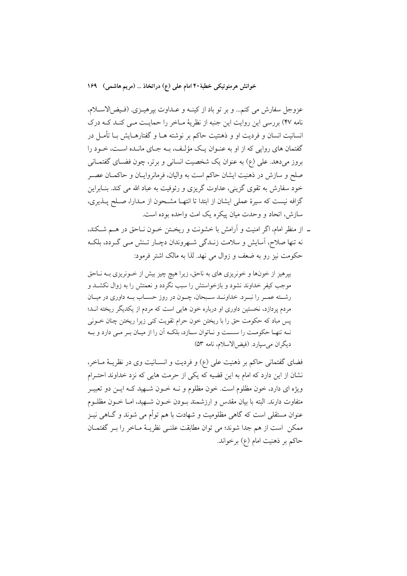خوانش هرمنوتیکی خطبهٔ۴۰ امام علی (ع) دراتخاذ … (مریم هاشمی) ۱۶۹

عزوجل سفارش می کنم... و بر تو باد از کینـه و عـداوت بپرهیــزی. (فـیض|لاســلام، نامه ۴۷) بررسی این روایت این جنبه از نظریهٔ مـاخر را حمایـت مـی کنـد کــه درک انسانیت انسان و فردیت او و ذهنتیت حاکم بر نوشته هـا و گفتارهــایش بـا تأمــل در گفتمان های روایی که از او به عنـوان یـک مؤلـف، بـه جـای مانـده اسـت، خـود را بروز میدهد. علی (ع) به عنوان یک شخصیت انسانی و برتر، چون فضـای گفتمـانی صلح و سازش در ذهنیت ایشان حاکم است به والیان، فرمانروایـان و حاکمـان عصـر خود سفارش به تقوی گزینی، عداوت گریزی و رئوفیت به عباد الله می کند. بنــابراین گزافه نیست که سیرهٔ عملی ایشان از ابتدا تا انتهـا مشـحون از مـدارا، صـلح پــذیری، سازش، اتحاد و وحدت میان پیکره یک امت واحده بوده است.

نه تنها صلاح، اسایش و سلامت زنـدگی شـهروندان دچـار تـنش مـی گـردد، بلکـه حکومت نیز رو به ضعف و زوال می نهد. لذا به مالک اشتر فرمود:

بیرهیز از خونها و خونریزی های به ناحق، زیرا هیچ چیز بیش از خــونریزی بــه نــاحق موجب کیفر خداوند نشود و بازخواستش را سبب نگردد و نعمتش را به زوال نکشـد و رشته عمـر را نبـرد. خداونــد سـبحان، چــون در روز حســاب بــه داوري در ميــان مردم پردازد، نخستین داوری او درباره خون هایی است که مردم از یکدیگر ریخته انـد؛ پس مباد که حکومت حق را با ریختن خون حرام تقویت کنی زیرا ریختن چنان خــونی نـه تنهـا حكومـت را سسـت و نـاتوان سـازد، بلكـه أن را از ميـان بـر مـى دارد و بـه ديگران مي سيارد. (فيض الاسلام، نامه ٥٣)

فضای گفتمانی حاکم بر ذهنیت علی (ع) و فردیت و انســانیت وی در نظریــهٔ مــاخر، نشان از این دارد که امام به این قضیه که یکی از حرمت هایی که نزد خداوند احتـرام ویژه ای دارد، خون مظلوم است. خون مظلوم و نــه خــون شــهید کــه ایــن دو تعبیــر متفاوت دارند. البته با بیان مقدس و ارزشمند بــودن خــون شـــهید، امــا خــون مظلــوم عنوان مستقلی است که گاهی مظلومیت و شهادت با هم توأم می شوند و گــاهی نیــز ممكن است از هم جدا شوند؛ مى توان مطابقت علنـى نظريــهٔ مــاخر را بــر گفتمــان حاكم بر ذهنيت امام (ع) برخواند.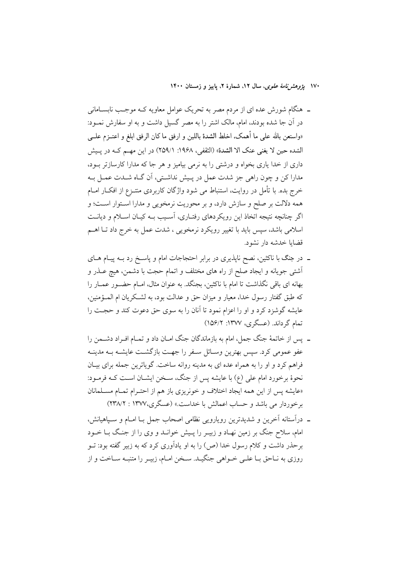- ـ هنگام شورش عده ای از مردم مصر به تحریک عوامل معاویه کـه موجـب نابســامانـی در اّن جا شده بودند، امام، مالک اشتر را به مصر گسیل داشت و به او سفارش نمــود: «واستعن بالله على ما أهمك، اخلط الشدة باللين و ارفق ما كان الرفق ابلغ و اعتــزم علـــى الشده حين لا يغني عنك الا الشدة» (الثقفي، ١٩۶٨: ٢٥٩/١) در اين مهـم كــه در پــيش داری از خدا یاری بخواه و درشتی را به نرمی بیامیز و هر جا که مدارا کارسازتر بود، مدارا کن و چون راهی جز شدت عمل در پـیش نداشـتی، اَن گـاه شــدت عمــل بــه خرج بده. با تأمل در روایت، استنباط می شود واژگان کاربردی منتــزع از افکــار امــام همه دلالت بر صلح و سازش دارد، و بر محوریت نرمخویی و مدارا اسـتوار اسـت؛ و اگر چنانچه نتیجه اتخاذ این رویکردهای رفتـاری، آسـیب بــه کیــان اســلام و دیانــت اسلامی باشد، سپس باید با تغییر رویکرد نرمخویی ، شدت عمل به خرج داد تـا اهــم قضایا خدشه دار نشود.
- ـ در جنگ با ناکثین، نصح ناپذیری در برابر احتجاجات امام و پاسـخ رد بـه پیـام هــای أشتى جويانه و ايجاد صلح از راه هاى مختلف و اتمام حجت با دشمن، هيچ عــذر و بهانه ای باقی نگذاشت تا امام با ناکثین، بجنگد. به عنوان مثال، امـام حضـور عمــار را كه طبق گفتار رسول خداً، معيار و ميزان حق و عدالت بود، به لشكريان ام المــؤمنين، عايشه گوشزد كرد و او را اعزام نمود تا آنان را به سوى حق دعوت كند و حجـت را تمام گرداند. (عسگری، ۱۳۷۷: ۱۵۶/۲)
- ــ پس از خاتمهٔ جنگ جمل، امام به بازماندگان جنگ امــان داد و تمــام افــراد دشــمن را عفو عمومی کرد. سیس بهترین وسائل سفر را جهت بازگشت عایشه بـه مدینـه فراهم کرد و او را به همراه عده ای به مدینه روانه ساخت. گویاترین جمله برای بیـان .<br>نحوهٔ برخورد امام عل<sub>ی</sub> (ع) با عایشه پس از جنگ، سـخن ایشــان اسـت کــه فرمــود: «عایشه پس از این همه ایجاد اختلاف و خونریزی باز هم از احتـرام تمـام مسـلمانان برخوردار می باشد و حساب اعمالش با خداست.» (عسگری،۱۳۷۷ : ۲۳۸/۲)
- ـ درآستانه آخرین و شدیدترین رویارویی نظامی اصحاب جمل بـا امـام و سـپاهیانش، امام، سلاح جنگ بر زمین نهـاد و زبیــر را پــیش خوانــد و وی را از جنــگ بــا خــود برحذر داشت و کلام رسول خدا (ص) را به او یادآوری کرد که به زبیر گفته بود: تــو روزي به نـاحق بـا علـي خــواهي جنگيــد. ســخن امــام، زبيــر را متنبــه ســاخت و از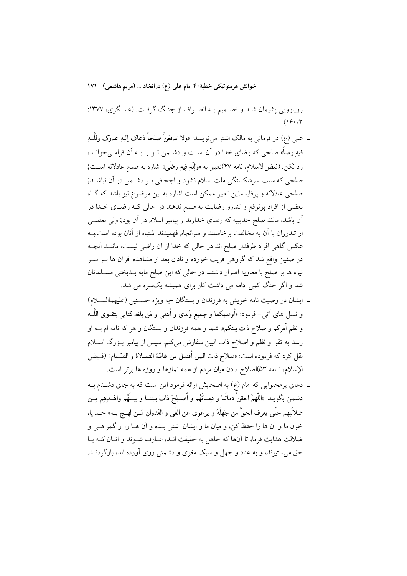خوانش هرمنوتیکی خطبهٔ۴۰ امام علمی (ع) دراتخاذ … (مریم هاشمی) ۱۷۱

رویارویی پشیمان شـد و تصــمیم بــه انصــراف از جنـگ گرفــت. (عسـگری، ۱۳۷۷:  $(19.77$ 

- ـ علي (ع) در فرماني به مالک اشتر میiویسد: «ولا تدفعَنَّ صلحاً دَعاک إليهِ عدوّک وللَّــهِ فیهِ رضاً» صلحی که رضای خدا در آن است و دشـمن تــو را بــه آن فرامــیخوانــد، رد نكن فيضالاسلام، نامه ۴۷)تعبير به «وَلِلَّهِ فِيهِ رضَى» اشاره به صلح عادلانه اســت; صلحی که سبب سرشکستگی ملت اسلام نشود و اجحافی بـر دشــمن در آن نباشــد; صلحی عادلانه و پرفایده این تعبیر ممکن است اشاره به این موضوع نیز باشد که گـاه بعضی از افراد پرتوقع و تندرو رضایت به صلح ندهند در حالی کـه رضـای خـدا در اّن باشد، مانند صلح حدیبیه که رضای خداوند و پیامبر اسلام در اَن بود; ولی بعضــی از تندروان با آن به مخالفت برخاستند و سرانجام فهمیدند اشتباه از آنان بوده است بــه عکس گاهی افراد طرفدار صلح اند در حالی که خدا از آن راضی نیست، ماننـد آنچـه در صفین واقع شد که گروهی فریب خورده و نادان بعد از مشاهده قرآن ها بــر ســر نیزه ها بر صلح با معاویه اصرار داشتند در حالی که این صلح مایه بـدبختی مسـلمانان شد و اگر جنگ کمی ادامه می داشت کار برای همیشه یکسره می شد.
- ـ ايشان در وصيت نامه خويش به فرزندان و بستگان –به ويژه حســنين (عليهماالســلام) و نسل های اَتی- فرمود: «أوصيكما و جميع وُلدي و أهلي و مَن بلغه كتابي بتقــوي اللَّــه و نظم أمركم و صلاح ذات بينكم». شما و همه فرزندان و بستگان و هر كه نامه ام بــه او رسد به تقوا و نظم و اصلاح ذات البين سفارش مي كنم. سيس از پيامبر بـزرگ اسـلام نقل كرد كه فرموده است: «صلاح ذات البين أفضل من عامَّة الصــلاة و الصّــيام» (فــيض الإسلام، نـامه ٥٣)اصلاح دادن ميان مردم از همه نمازها و روزه ها برتر است.
- ـ دعای پرمحتوایی که امام (ع) به اصحابش ارائه فرمود این است که به جای دشـنام بـه دشمن بگويند: «اللَّهمَّ احقِنْ دِمائَنا و دِمــائَهُم و أَصــلِحْ ذاتَ بيننـــا و بيــنَهُم واهْــدهِم مِــن ضلاَلَتِهِم حتَّمِي يعرفَ الحقُّ مَن جَهلَهُ و يرعَوي عن الغَيي و العُدوان مَــن لهــجَ بــه» خــدايا، خون ما و آن ها را حفظ کن، و میان ما و ایشان آشتی بـده و آن هــا را از گمراهــی و ضلالت هدایت فرما، تا آنها که جاهل به حقیقت انـد، عــارف شــوند و آنــان کــه بــا حق می ستیزند، و به عناد و جهل و سبک مغزی و دشمنی روی آورده اند، بازگردنــد.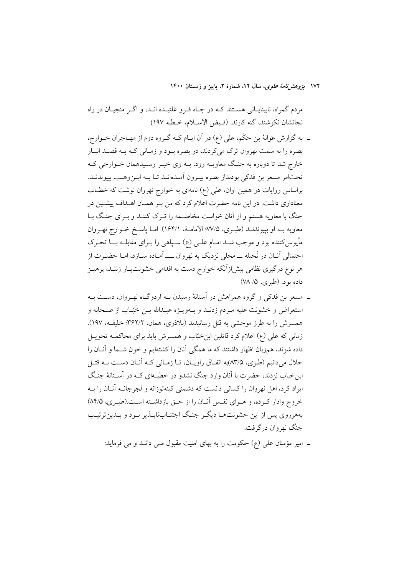مردم گمراه، نابینایــانی هســتند کــه در چــاه فــرو غلتیــده انــد، و اگــر منجیــان در راه نجاتشان نكوشند، گنه كارند. (فيض الاسلام، خطبه ١٩٧)

- ـ به گزارش عَوانهٔ بن حَکَم، علی (ع) در اَن ایـام کـه گـروه دوم از مهـاجران خــوارج، بصره را به سمت نهروان ترک می کردند، در بصره بود و زمـانی کـه بـه قصـد انبـار خارج شد تا دوباره به جنگ معاویــه رود، بــه وی خبـر رسـیدهمان خــوارجی کــه تحتامر مسعر بن فدكي بودنداز بصره بيـرون آمـدهانـد تـا بــه ابــن,وهــب بييوندنــد. براساس روایات در همین اوان، علی (ع) نامهای به خوارج نهروان نوشت که خطـاب معناداری داشت. در این نامه حضرت اعلام کرد که من بـر همـان اهـداف پیشـین در جنگ با معاویه هستم و از آنان خواست مخاصـمه را تـرک کننـد و بـرای جنـگ بـا معاويه بــه او بپيوندنــد (طبــری، ٧٧/٥؛ الامامــهٔ، ١۶۴/١). امــا پاســخ خــوارج نهــروان مأیوس کننده بود و موجب شــد امــام علــی (ع) ســپاهـی را بــرای مقابلــه بـــا تحــرک احتمالی آنـان در نُخيله ـــ محلي نزديک به نهروان ـــــ اَمــاده ســازد، امــا حضــرت از هر نوع درگیری نظامی پیش(زآنکه خوارج دست به اقدامی خشونتبـار زننـد، پرهیـز داده بود. (طبري، ۵/ ۷۸)
- ــ مسعر بن فدکی و گروه همراهش در آستانهٔ رسیدن بــه اردوگــاه نهــروان، دســت بــه استعراض و خشونت عليه مـردم زدنــد و بــهويــژه عبــدالله بــن خَبّــاب از صــحابه و همسرش را به طرز موحشی به قتل رسانیدند (بلاذری، همان، ۳۶۲/۲؛ خلیف، ۱۹۷). زمانی که علی (ع) اعلام کرد قاتلین ابنِ خبّاب و همسرش باید برای محاکمـه تحویــل داده شوند، همزبان اظهار داشتند که ما همگی آنان را کشتهایم و خون شــما و آنــان را حلال می دانیم (طبری، ۸۳/۵)به اتفـاق راویــان، تــا زمــانی کــه آنــان دســت بــه قتــل ابن خباب نزدند، حضرت با آنان وارد جنگ نشدو در خطبهای کـه در آسـتانهٔ جنـگ ایراد کرد، اهل نهروان را کسانی دانست که دشمنی کینهتوزانه و لجوجانــه آنــان را بــه خروج وادار كـرده، و هــواي نفــس آنــان را از حــق بازداشــته اســت.(طبـري، ٨٤/۵) بههرروی پس از این خشونتها دیگر جنگ اجتنابنایلذیر بود و بلدین ترتیب جنگ نهروان درگرفت.

ـ امیر مؤمنان علی (ع) حکومت را به بهای امنیت مقبول مـی دانـد و می فرماید: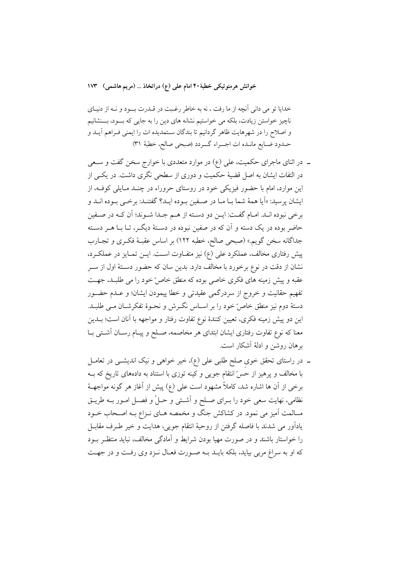خوانش هرمنوتيكي خطبهٔ ۴۰ امام على (ع) دراتخاذ … (مريم هاشمي) ۱۷۳

خدایا تو می دانی آنچه از ما رفت ، نه به خاطر رغبت در قــدرت بـــود و نــه از دنیــای ناچیز خواستن زیادت، بلکه می خواستیم نشانه های دین را به جایی که بسود، بسنشانیم و اصلاح را در شهرهایت ظاهر گردانیم تا بندگان سـتمدیده ات را ایمنی فـراهم آیــد و حـدود ضـايع مانـده ات اجــراء گـــردد (صبحى صالح، خطبهٔ ٣١)

- ــ در اثنای ماجرای حکمیت، علی (ع) در موارد متعددی با خوارج سخن گفت و سـعی در التفات ایشان به اصل قضیهٔ حکمیت و دوری از سطحی نگری داشت. در یکسی از این موارد، امام با حضور فیزیکی خود در روستای حروراء در چنـد مـایلی کوفـه، از ايشان يرسيد: «أيا همهٔ شما بــا مــا در صــفين بــوده ايــد؟ گفتنــد: برخــي بــوده انــد و برخي نبوده انـد. امـام گفـت: ايـن دو دسـته از هـم جـدا شـوند؛ آن كـه در صـفين حاضر بوده در یک دسته و آن که در صفین نبوده در دسـتهٔ دیگـر، تـا بـا هـر دسـته جداگانه سخن گويم.» (صبحي صالح، خطبه ١٢٢) بر اساس عقبـهٔ فكـرى و تجـارب پیش رفتاری مخالف، عملکرد علی (ع) نیز متفــاوت اســت. ایــن تمــایز در عملکــرد، نشان از دقت در نوع برخورد با مخالف دارد. بدین سان که حضور دسـتهٔ اول از سـر عقبه و پیش زمینه های فکری خاصی بوده که منطق خاص ٌخود را می طلبـد، جهـت تفهیم حقانیت و خروج از سردرگمی عقیدتی و خطا پیمودن ایشان؛ و عـدم حضـور دستهٔ دوم نیز منطق خاصٌ خود را بر اسـاس نگــرش و نحــوهٔ تفکرشــان مــی طلبــد. این دو پیش زمینه فکری، تعیین کنندهٔ نوع تفاوت رفتار و مواجهه با آنان است؛ بــدین معنا که نوع تفاوت رفتاری ایشان ابتدای هر مخاصمه، صلح و پیـام رسـان آشـتی بـا برهان روشن و ادلهٔ آشکار است.
- ـ در راستای تحقق خوی صلح طلبی علی (ع)، خیر خواهی و نیک اندیشـی در تعامـل با مخالف و پرهیز از حسّ انتقام جویبی و کینه توزی با استناد به دادههای تاریخ که بــه برخي از آن ها اشاره شد، كاملاً مشهود است على (ع) پيش از أغاز هر گونه مواجهــهٔ نظامی، نهایت سعی خود را بـرای صـلح و أشـتی و حـلٌ و فصـل امـور بـه طریـق مسالمت آمیز می نمود. در کشاکش جنگ و مخمصه هـای نـزاع بـه اصـحاب خــود ياداًور مي شدند با فاصله گرفتن از روحيهٔ انتقام جويي، هدايت و خير طـرف مقابــل را خواستار باشند و در صورت مهیا بودن شرایط و آمادگی مخالف، نباید منتظـر بــود که او به سراغ مربی بیاید، بلکه بایـد بــه صـورت فعـال نــزد وی رفـت و در جهـت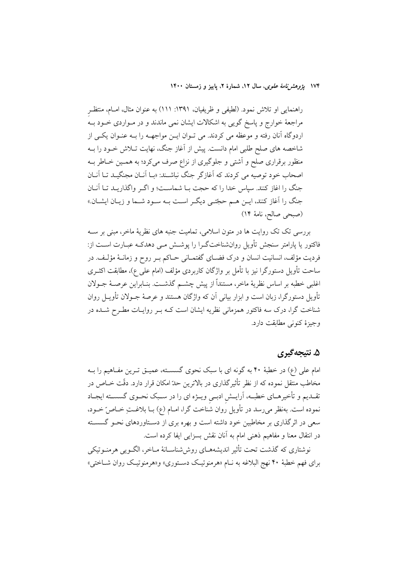راهنمایی او تلاش نمود. (لطیفی و ظریفیان، ۱۳۹۱: ۱۱۱) به عنوان مثال، امـام، منتظـر مراجعهٔ خوارج و پاسخ گویی به اشکالات ایشان نمی ماندند و در مـواردی خــود بــه اردوگاه آنان رفته و موعظه می کردند. می تـوان ایـن مواجهــه را بــه عنـوان یکــی از شاخصه های صلح طلبی امام دانست. پیش از آغاز جنگ، نهایت تــلاش خــود را بــه منظور برقراری صلح و آشتی و جلوگیری از نزاع صرف میکرد؛ به همـین خـاطر بــه اصحاب خود توصیه می کردند که آغازگر جنگ نباشـند: «بــا آنــان مجنگیــد تــا آنــان جنگ را اغاز کنند. سپاس خدا را که حجت بـا شماسـت؛ و اگـر واگذاريـد تـا آنـان جنگ را آغاز کنند، ایــن هــم حجّتــي دیگــر اســت بــه ســود شــما و زیــان ایشــان.» (صبحى صالح، نامهٔ ١۴)

بررسی تک تک روایت ها در متون اسلامی، تمامیت جنبه های نظریهٔ ماخر، مبنی بر ســه فاکتور یا پارامتر سنجش تأویل روانشناختگـرا را پوشـش مـی دهدکـه عبـارت اسـت از: فرديت مؤلف، انسانيت انسان و درک فضــاي گفتمــاني حــاکم بــر روح و زمانــهٔ مؤلـف. در ساحت تأويل دستورگرا نيز با تأمل بر واژگان كاربردي مؤلف (امام علي ع)، مطابقت اكثــري اغلبي خطبه بر اساس نظرية ماخر، مستنداً از پيش چشــم گذشــت. بنــابراين عرصــهٔ جــولان تأویل دستورگرا، زبان است و ابزار بیانی آن که واژگان هستند و عرصهٔ جــولان تأویــل روان شناخت گرا، درک سه فاکتور همزمانی نظریه ایشان است کـه بـر روایــات مطـرح شــده در وجيزة كنوني مطابقت دارد.

#### ۵. نتيجه گيري

امام علی (ع) در خطبهٔ ۴۰ به گونه ای با سبک نحوی گسســته، عمیــق تــرین مفــاهیم را بــه مخاطب منتقل نموده که از نظر تأثیرگذاری در بالاترین حدّ امکان قرار دارد. دقّت خــاص در تقـديم و تأخيرهـاي خطبــه، آرايــش ادبــي ويــژه اي را در ســبک نحــوي گسســته ايجــاد نموده است. بهنظر میرسد در تأویل روان شناخت گرا، امــام (ع) بــا بلاغــتِ خــاص ّخــود، سعی در اثرگذاری بر مخاطبین خود داشته است و بهره بری از دسـتاوردهای نحـو گسسـته در انتقال معنا و مفاهيم ذهني امام به آنان نقش بسزايي ايفا كرده است.

نوشتاري كه گذشت تحت تأثير انديشههــاي روش،شناســانهٔ مــاخر، الگــويي هرمنــوتيكي برای فهم خطبهٔ ۴۰ نهج البلاغه به نـام «هرمنوتیـک دسـتوری» و«هرمنوتیـک روان شــاختی»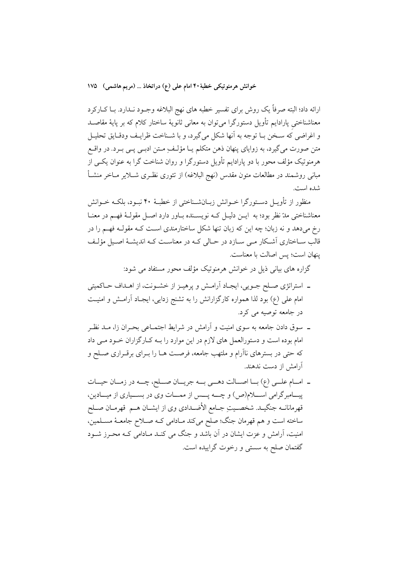خوانش هرمنوتيكي خطبهٔ ۴۰ امام على (ع) دراتخاذ … (مريم هاشمي) ١٧۵

ارائه داد؛ البته صرفاً یک روش برای تفسیر خطبه های نهج البلاغه وجــود نــدارد. بــا کــارکرد معناشناختی پارادایم تأویل دستورگرا می توان به معانی ثانویهٔ ساختار کلام که بر پایهٔ مقاصـد و اغراضي كه سـخن بـا توجه به أنها شكل مي گيرد، و با شـناخت ظرايـف ودقـايق تحليـل متن صورت میگیرد، به زوایای پنهان ذهن متکلم یـا مؤلـف ِمـتن ادبــی پــی بــرد. در واقــع هرمنوتیک مؤلف محور با دو پارادایم تأویل دستورگرا و روان شناخت گرا به عنوان یکــی از مبانی روشمند در مطالعات متون مقدس (نهج البلاغه) از تئوری نظـری شــلایر مــاخر منشــأ شده است.

منظور از تأويــل دســتورگرا خــوانش زبــانشــناختى از خطبــهٔ ۴۰ نبــود، بلكــه خــوانش معناشناختی مدّ نظر بود؛ به ایــن دلیــل کــه نویســنده بــاور دارد اصــل مقولــهٔ فهــم در معنــا رخ می دهد و نه زبان؛ چه این که زبان تنها شکل ساختارمندی اسـت کـه مقولـه فهــم را در قالب ســاختاري اَشــكار مــي ســازد در حــالي كــه در معناســت كــه انديشــهٔ اصــيل مؤلــف ينهان است؛ پس اصالت با معناست.

گزاره های بیانی ذیل در خوانش هرمنوتیک مؤلف محور مستفاد می شود:

- ـ استراتژي صـلح جـويي، ايجـاد آرامـش و پرهيـز از خشـونت، از اهـداف حـاكميتي امام علی (ع) بود لذا همواره کارگزارانش را به تشنج زدایی، ایجاد آرامش و امنیت در جامعه توصیه می کرد.
- ــ سوق دادن جامعه به سوی امنیت و آرامش در شرایط اجتمــاعی بحــران زا، مــد نظــر امام بوده است و دستورالعمل های لازم در این موارد را بـه کـارگزاران خـود مـی داد که حتی در بسترهای ناآرام و ملتهب جامعه، فرصـت هـا را بــرای برقــراری صــلح و آرامش از دست ندهند.
- ـ امـام علــي (ع) بــا اصــالت دهــي بــه جريــان صــلح، چــه در زمــان حيــات پیــامبرگرامی اســـلام(ص) و چـــه پـــس از ممـــات وی در بســـیاری از میـــادین، قهرمانانــه جنگيــد. شخصــيت جــامع الأضــدادي وي از ايشــان هــم قهرمــان صــلح ساخته است و هم قهرمان جنگ؛ صلح میکند مـادامی کـه صــلاح جامعــهٔ مســلمین، امنیت، آرامش و عزت ایشان در آن باشد و جنگ می کنـد مـادامی کـه محـرز شــود گفتمان صلح به سستی و رخوت گراییده است.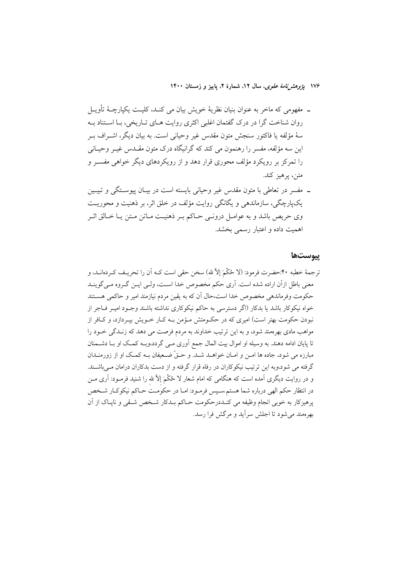۔ مفھومی که ماخر به عنوان بنیان نظریهٔ خویش بیان می کنـد، کلیـت یکپارچــهٔ تأویــل روان شناخت گرا در درک گفتمان اغلبی اکثری روایت هـای تـاریخی، بـا اسـتناد بـه سهٔ مؤلفه یا فاکتور سنجش متون مقدس غیر وحیانی است. به بیان دیگر، اشـراف بـر این سه مؤلفه، مفسر را رهنمون می کند که گرانیگاه درک متون مقــدس غیــر وحیــانی را تمرکز بر رویکرد مؤلف محوری قرار دهد و از رویکردهای دیگر خواهی مفســر و متن، يرهيز کند.

ــ مفسر در تعاطی با متون مقدس غیر وحیانی بایسته است در بیــان پیوســتگی و تبیــین یکپارچگی، سازماندهی و یگانگی روایت مؤلف در خلق اثر، بر ذهنیت و محوریت وي حريص باشد و به عوامـل درونـي حـاكم بـر ذهنيـت مـاتن مـتن يـا خـالق اثـر اهمیت داده و اعتبار رسمی بخشد.

#### يبوستها

ترجمهٔ خطبه ۴۰:حضرت فرمود: (لا حُكْمَ إلاّ لله) سخن حقى است كـه أن را تحريـف كـردهانــد، و معنى باطل ازآن اراده شده است. آرى حكم مخصوص خدا اسـت، ولـي ايــن گــروه مــي گوينــد حکومت وفرماندهی مخصوص خدا است،حال آن که به یقین مردم نیازمند امیر و حاکمی هســتند خواه نیکوکار باشد یا بدکار (اگر دسترسی به حاکم نیکوکاری نداشته باشند وجـود امیـر فــاجر از نبودن حکومت بهتر است) امیری که در حکــومتش مــؤمن بــه کــار خــویش بیــردازد، و کــافر از مواهب مادی بهرهمند شود، و به این ترتیب خداوند به مردم فرصت می دهد که زنـدگی خـود را تا پایان ادامه دهند. به وسیله او اموال بیت المال جمع آوری مـی گردد،وبـه کمـک او بـا دشـمنان مبارزه مي شود، جاده ها امــن و امــان خواهــد شــد. و حــقٌ ضــعيفان بــه كمــک او از زورمنــدان گرفته می شود،وبه این ترتیب نیکوکاران در رفاه قرار گرفته و از دست بدکاران درامان مـی باشـند. و در روایت دیگری آمده است که هنگامی که امام شعار لا حُکْمَ إلاّ لله را شنید فرمـود: آری مــن در انتظار حکم الهي درباره شما هستم سـپس فرمـود: امـا در حکومـت حـاکم نيکوکـار شـخص پرهیزکار به خوبی انجام وظیفه می کنـددرحکومت حـاکم بـدکار شـخص شـقی و نایـاک از آن بھرومند می شود تا اجلش سرآید و مرگش فرا رسد.